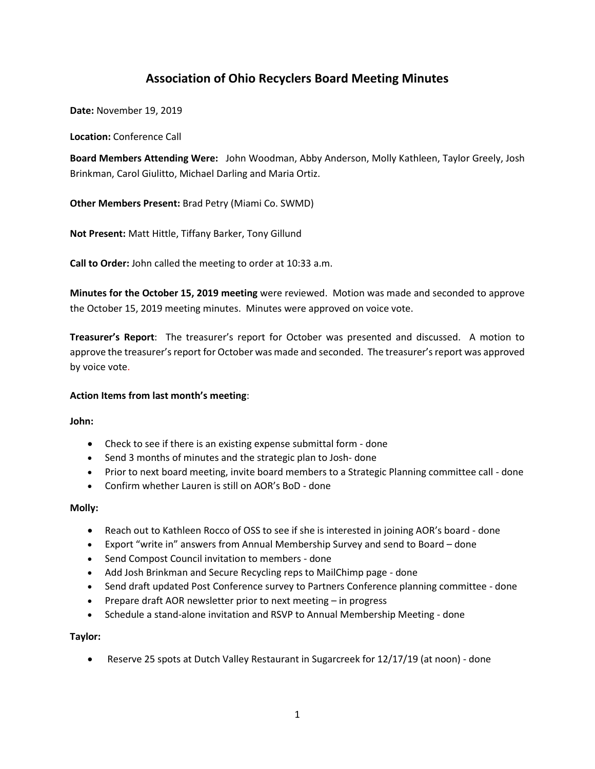# **Association of Ohio Recyclers Board Meeting Minutes**

**Date:** November 19, 2019

**Location:** Conference Call

**Board Members Attending Were:** John Woodman, Abby Anderson, Molly Kathleen, Taylor Greely, Josh Brinkman, Carol Giulitto, Michael Darling and Maria Ortiz.

**Other Members Present:** Brad Petry (Miami Co. SWMD)

**Not Present:** Matt Hittle, Tiffany Barker, Tony Gillund

**Call to Order:** John called the meeting to order at 10:33 a.m.

**Minutes for the October 15, 2019 meeting** were reviewed. Motion was made and seconded to approve the October 15, 2019 meeting minutes. Minutes were approved on voice vote.

**Treasurer's Report**: The treasurer's report for October was presented and discussed. A motion to approve the treasurer's report for October was made and seconded. The treasurer's report was approved by voice vote.

# **Action Items from last month's meeting**:

**John:**

- Check to see if there is an existing expense submittal form done
- Send 3 months of minutes and the strategic plan to Josh- done
- Prior to next board meeting, invite board members to a Strategic Planning committee call done
- Confirm whether Lauren is still on AOR's BoD done

# **Molly:**

- Reach out to Kathleen Rocco of OSS to see if she is interested in joining AOR's board done
- Export "write in" answers from Annual Membership Survey and send to Board done
- Send Compost Council invitation to members done
- Add Josh Brinkman and Secure Recycling reps to MailChimp page done
- Send draft updated Post Conference survey to Partners Conference planning committee done
- Prepare draft AOR newsletter prior to next meeting in progress
- Schedule a stand-alone invitation and RSVP to Annual Membership Meeting done

# **Taylor:**

• Reserve 25 spots at Dutch Valley Restaurant in Sugarcreek for 12/17/19 (at noon) - done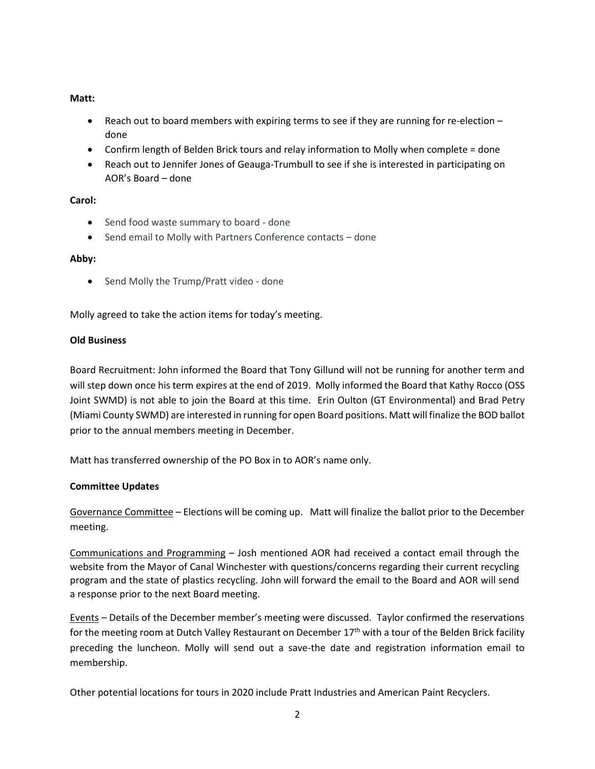# **Matt:**

- Reach out to board members with expiring terms to see if they are running for re-election done
- Confirm length of Belden Brick tours and relay information to Molly when complete = done
- Reach out to Jennifer Jones of Geauga-Trumbull to see if she is interested in participating on AOR's Board – done

# **Carol:**

- Send food waste summary to board done
- Send email to Molly with Partners Conference contacts done

#### **Abby:**

• Send Molly the Trump/Pratt video - done

Molly agreed to take the action items for today's meeting.

#### **Old Business**

Board Recruitment: John informed the Board that Tony Gillund will not be running for another term and will step down once his term expires at the end of 2019. Molly informed the Board that Kathy Rocco (OSS Joint SWMD) is not able to join the Board at this time. Erin Oulton (GT Environmental) and Brad Petry (Miami County SWMD) are interested in running for open Board positions. Matt will finalize the BOD ballot prior to the annual members meeting in December.

Matt has transferred ownership of the PO Box in to AOR's name only.

# **Committee Updates**

Governance Committee – Elections will be coming up. Matt will finalize the ballot prior to the December meeting.

Communications and Programming – Josh mentioned AOR had received a contact email through the website from the Mayor of Canal Winchester with questions/concerns regarding their current recycling program and the state of plastics recycling. John will forward the email to the Board and AOR will send a response prior to the next Board meeting.

Events – Details of the December member's meeting were discussed. Taylor confirmed the reservations for the meeting room at Dutch Valley Restaurant on December 17<sup>th</sup> with a tour of the Belden Brick facility preceding the luncheon. Molly will send out a save-the date and registration information email to membership.

Other potential locations for tours in 2020 include Pratt Industries and American Paint Recyclers.